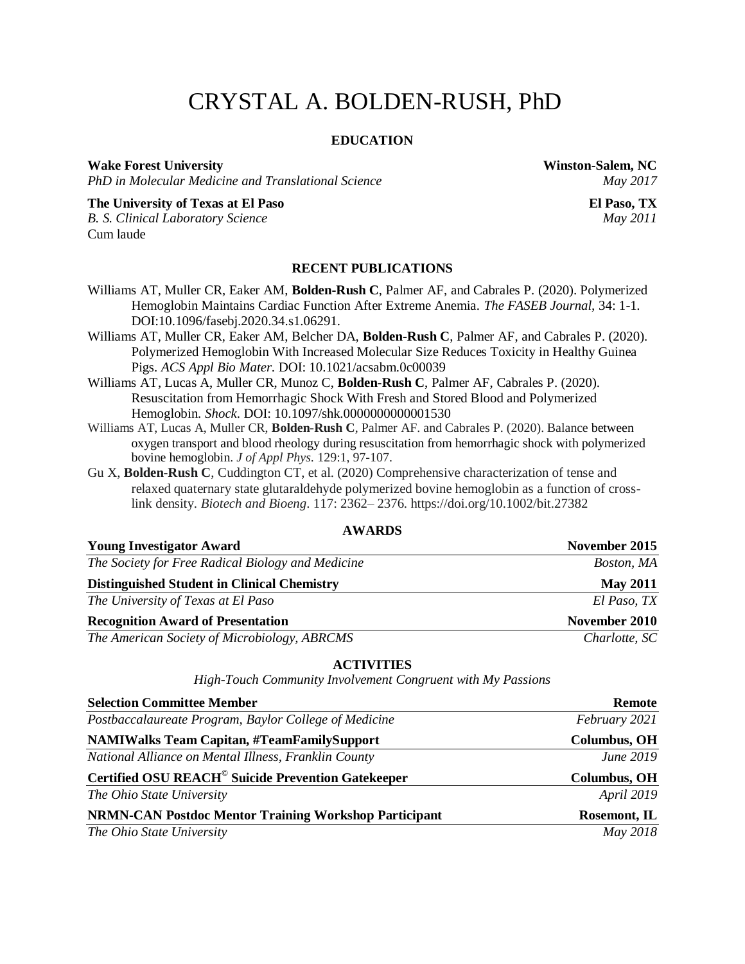# CRYSTAL A. BOLDEN-RUSH, PhD

#### **EDUCATION**

#### **Wake Forest University Winston-Salem, NC**

*PhD in Molecular Medicine and Translational Science May 2017*

**The University of Texas at El Paso El Paso, TX** *B. S. Clinical Laboratory Science May 2011* Cum laude

#### **RECENT PUBLICATIONS**

- [Williams](https://faseb.onlinelibrary.wiley.com/action/doSearch?ContribAuthorStored=Williams%2C+Alexander+T) AT, [Muller](https://faseb.onlinelibrary.wiley.com/action/doSearch?ContribAuthorStored=Muller%2C+Cynthia+R) CR, [Eaker](https://faseb.onlinelibrary.wiley.com/action/doSearch?ContribAuthorStored=Eaker%2C+Allyn+M) AM, **[Bolden-Rush](https://faseb.onlinelibrary.wiley.com/action/doSearch?ContribAuthorStored=Bolden-Rush%2C+Crystal) C**, [Palmer](https://faseb.onlinelibrary.wiley.com/action/doSearch?ContribAuthorStored=Palmer%2C+Andre+F) AF, and [Cabrales](https://faseb.onlinelibrary.wiley.com/action/doSearch?ContribAuthorStored=Cabrales%2C+Pedro) P. (2020). Polymerized Hemoglobin Maintains Cardiac Function After Extreme Anemia. *The FASEB Journal,* 34: 1-1. DOI[:10.1096/fasebj.2020.34.s1.06291.](https://doi.org/10.1096/fasebj.2020.34.s1.06291)
- Williams AT, Muller CR, Eaker AM, Belcher DA, **Bolden-Rush C**, Palmer AF, and Cabrales P. (2020). Polymerized Hemoglobin With Increased Molecular Size Reduces Toxicity in Healthy Guinea Pigs. *ACS Appl Bio Mater*. DOI: 10.1021/acsabm.0c00039
- [Williams AT,](https://europepmc.org/search?query=AUTH:%22Alexander%20T%20Williams%22) [Lucas A,](https://europepmc.org/search?query=AUTH:%22Alfredo%20Lucas%22) [Muller CR,](https://europepmc.org/search?query=AUTH:%22Cynthia%20R%20Muller%22) [Munoz C,](https://europepmc.org/search?query=AUTH:%22Carlos%20Munoz%22) **[Bolden-Rush C](https://europepmc.org/search?query=AUTH:%22Crystal%20Bolden-Rush%22)**, [Palmer AF,](https://europepmc.org/search?query=AUTH:%22Andre%20F%20Palmer%22) [Cabrales P.](https://europepmc.org/search?query=AUTH:%22Pedro%20Cabrales%22) (2020). Resuscitation from Hemorrhagic Shock With Fresh and Stored Blood and Polymerized Hemoglobin. *Shock*. DOI: [10.1097/shk.0000000000001530](https://doi.org/10.1097/shk.0000000000001530)
- Williams AT, Lucas A, Muller CR, **Bolden-Rush C**, Palmer AF. and Cabrales P. (2020). Balance between oxygen transport and blood rheology during resuscitation from hemorrhagic shock with polymerized bovine hemoglobin. *J of Appl Phys.* 129:1, 97-107.
- Gu X, **Bolden-Rush C**, Cuddington CT, et al. (2020) Comprehensive characterization of tense and relaxed quaternary state glutaraldehyde polymerized bovine hemoglobin as a function of crosslink density. *Biotech and Bioeng*. 117: 2362– 2376. https://doi.org/10.1002/bit.27382

| <b>Young Investigator Award</b>                    | November 2015   |  |  |  |
|----------------------------------------------------|-----------------|--|--|--|
| The Society for Free Radical Biology and Medicine  | Boston, MA      |  |  |  |
| <b>Distinguished Student in Clinical Chemistry</b> | <b>May 2011</b> |  |  |  |
| The University of Texas at El Paso                 | El Paso, TX     |  |  |  |
| <b>Recognition Award of Presentation</b>           | November 2010   |  |  |  |
| The American Society of Microbiology, ABRCMS       | Charlotte, SC   |  |  |  |

#### **ACTIVITIES**

*High-Touch Community Involvement Congruent with My Passions*

| <b>Selection Committee Member</b>                                    | <b>Remote</b>       |  |  |
|----------------------------------------------------------------------|---------------------|--|--|
| Postbaccalaureate Program, Baylor College of Medicine                | February 2021       |  |  |
| <b>NAMIWalks Team Capitan, #TeamFamilySupport</b>                    | <b>Columbus, OH</b> |  |  |
| National Alliance on Mental Illness, Franklin County                 | June 2019           |  |  |
| <b>Certified OSU REACH<sup>®</sup> Suicide Prevention Gatekeeper</b> | <b>Columbus, OH</b> |  |  |
| The Ohio State University                                            | <b>April 2019</b>   |  |  |
| <b>NRMN-CAN Postdoc Mentor Training Workshop Participant</b>         | Rosemont, IL        |  |  |
| The Ohio State University                                            | May 2018            |  |  |

#### **AWARDS**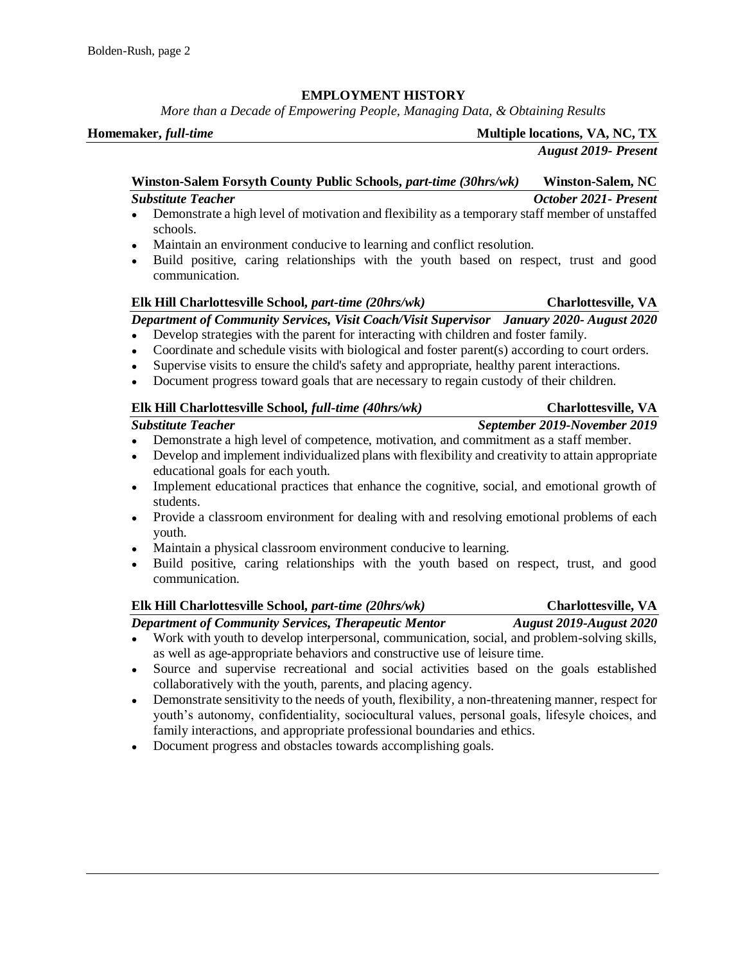### **EMPLOYMENT HISTORY**

*More than a Decade of Empowering People, Managing Data, & Obtaining Results*

*August 2019- Present*

**Winston-Salem Forsyth County Public Schools,** *part-time (30hrs/wk)* **Winston-Salem, NC** *Substitute Teacher October 2021- Present*

- Demonstrate a high level of motivation and flexibility as a temporary staff member of unstaffed schools.
- Maintain an environment conducive to learning and conflict resolution.
- Build positive, caring relationships with the youth based on respect, trust and good communication.

### **Elk Hill Charlottesville School,** *part-time (20hrs/wk)* **Charlottesville, VA**

### *Department of Community Services, Visit Coach/Visit Supervisor January 2020- August 2020*

- Develop strategies with the parent for interacting with children and foster family.
- Coordinate and schedule visits with biological and foster parent(s) according to court orders.
- Supervise visits to ensure the child's safety and appropriate, healthy parent interactions.
- Document progress toward goals that are necessary to regain custody of their children.

### **Elk Hill Charlottesville School,** *full-time (40hrs/wk)* **<b>Charlottesville, VA**

### *Substitute Teacher September 2019-November 2019*

- Demonstrate a high level of competence, motivation, and commitment as a staff member.
- Develop and implement individualized plans with flexibility and creativity to attain appropriate educational goals for each youth.
- Implement educational practices that enhance the cognitive, social, and emotional growth of students.
- Provide a classroom environment for dealing with and resolving emotional problems of each youth.
- Maintain a physical classroom environment conducive to learning.
- Build positive, caring relationships with the youth based on respect, trust, and good communication.

### **Elk Hill Charlottesville School,** *part-time (20hrs/wk)* **Charlottesville, VA**

*Department of Community Services, Therapeutic Mentor August 2019-August 2020*

- Work with youth to develop interpersonal, communication, social, and problem-solving skills, as well as age-appropriate behaviors and constructive use of leisure time.
- Source and supervise recreational and social activities based on the goals established collaboratively with the youth, parents, and placing agency.
- Demonstrate sensitivity to the needs of youth, flexibility, a non-threatening manner, respect for youth's autonomy, confidentiality, sociocultural values, personal goals, lifesyle choices, and family interactions, and appropriate professional boundaries and ethics.
- Document progress and obstacles towards accomplishing goals.